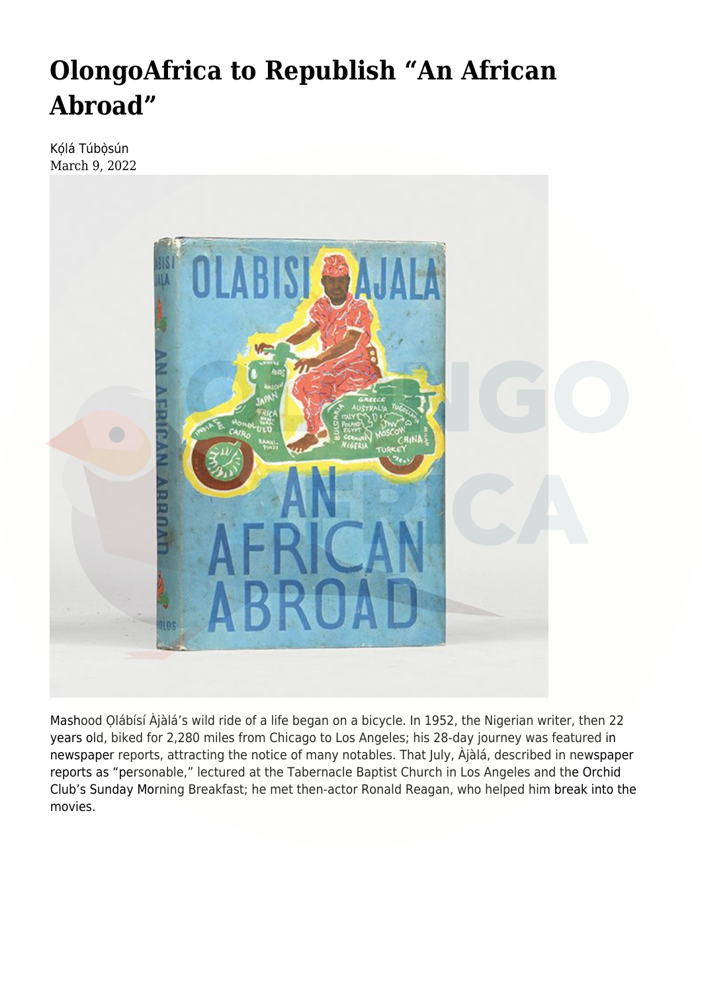## **[OlongoAfrica to Republish "An African](https://olongoafrica.com/olongoafrica-is-republishing-an-african-abroad/) [Abroad"](https://olongoafrica.com/olongoafrica-is-republishing-an-african-abroad/)**

Kólá Túbòsún March 9, 2022



Mashood Ọlábísí Àjàlá's wild ride of a life began on a bicycle. In 1952, the Nigerian writer, then 22 years old, biked for 2,280 miles from Chicago to Los Angeles; his 28-day journey was featured in newspaper reports, attracting the notice of many notables. That July, Àjàlá, described in newspaper reports as "personable," lectured at the Tabernacle Baptist Church in Los Angeles and the Orchid Club's Sunday Morning Breakfast; he met then-actor Ronald Reagan, who helped him break into the movies.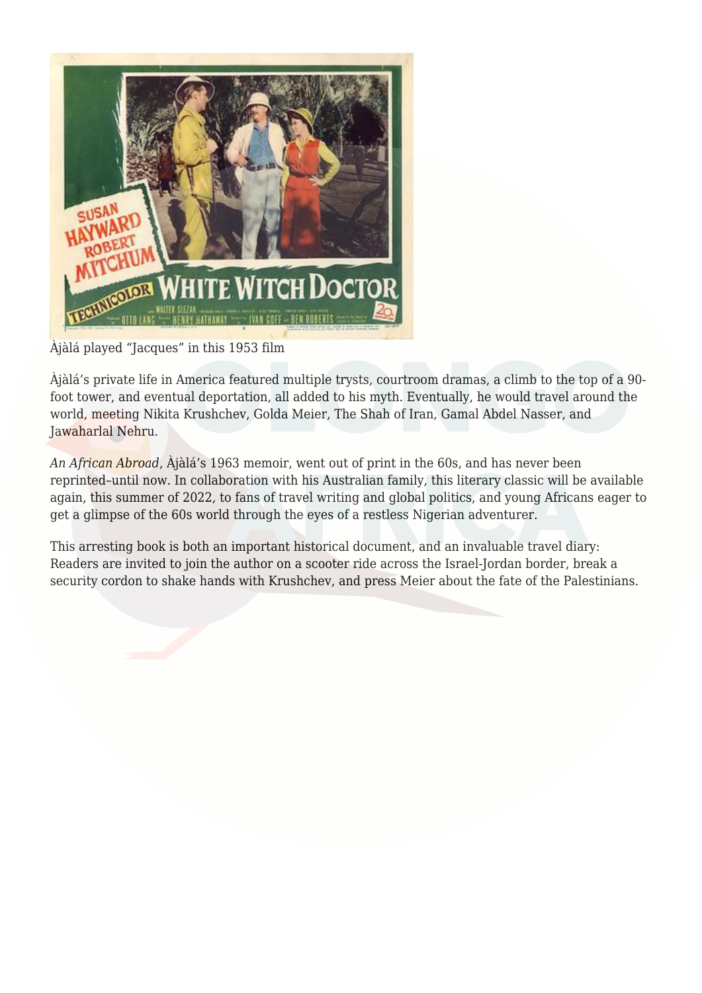

## Àjàlá played "Jacques" in this 1953 film

Àjàlá's private life in America featured multiple trysts, courtroom dramas, a climb to the top of a 90 foot tower, and eventual deportation, all added to his myth. Eventually, he would travel around the world, meeting Nikita Krushchev, Golda Meier, The Shah of Iran, Gamal Abdel Nasser, and Jawaharlal Nehru.

*An African Abroad*, Àjàlá's 1963 memoir, went out of print in the 60s, and has never been reprinted–until now. In collaboration with his Australian family, this literary classic will be available again, this summer of 2022, to fans of travel writing and global politics, and young Africans eager to get a glimpse of the 60s world through the eyes of a restless Nigerian adventurer.

This arresting book is both an important historical document, and an invaluable travel diary: Readers are invited to join the author on a scooter ride across the Israel-Jordan border, break a security cordon to shake hands with Krushchev, and press Meier about the fate of the Palestinians.